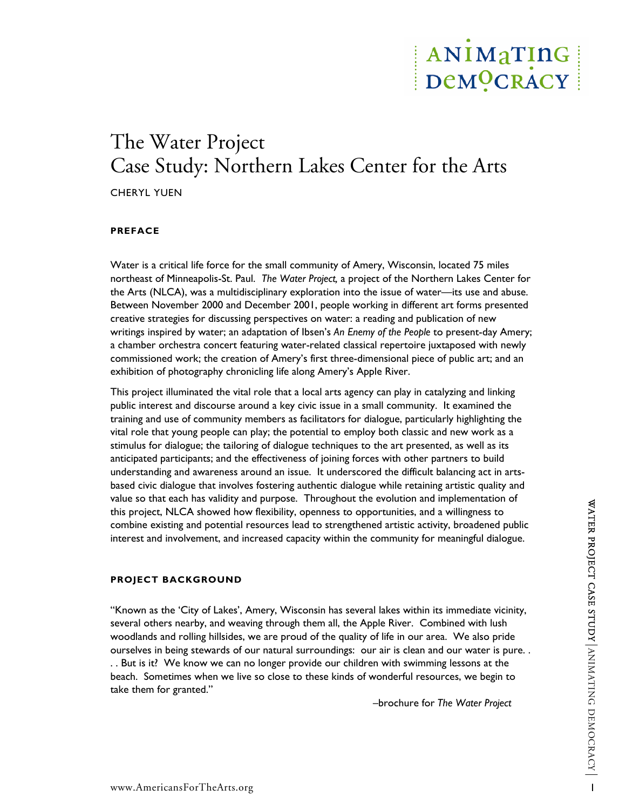## ANIMATING DeMOCRACY

# The Water Project Case Study: Northern Lakes Center for the Arts

CHERYL YUEN

## **PREFACE**

Water is a critical life force for the small community of Amery, Wisconsin, located 75 miles northeast of Minneapolis-St. Paul. *The Water Project,* a project of the Northern Lakes Center for the Arts (NLCA), was a multidisciplinary exploration into the issue of water—its use and abuse. Between November 2000 and December 2001, people working in different art forms presented creative strategies for discussing perspectives on water: a reading and publication of new writings inspired by water; an adaptation of Ibsen's *An Enemy of the People* to present-day Amery; a chamber orchestra concert featuring water-related classical repertoire juxtaposed with newly commissioned work; the creation of Amery's first three-dimensional piece of public art; and an exhibition of photography chronicling life along Amery's Apple River.

This project illuminated the vital role that a local arts agency can play in catalyzing and linking public interest and discourse around a key civic issue in a small community. It examined the training and use of community members as facilitators for dialogue, particularly highlighting the vital role that young people can play; the potential to employ both classic and new work as a stimulus for dialogue; the tailoring of dialogue techniques to the art presented, as well as its anticipated participants; and the effectiveness of joining forces with other partners to build understanding and awareness around an issue. It underscored the difficult balancing act in artsbased civic dialogue that involves fostering authentic dialogue while retaining artistic quality and value so that each has validity and purpose. Throughout the evolution and implementation of this project, NLCA showed how flexibility, openness to opportunities, and a willingness to combine existing and potential resources lead to strengthened artistic activity, broadened public interest and involvement, and increased capacity within the community for meaningful dialogue.

## **PROJECT BACKGROUND**

"Known as the 'City of Lakes', Amery, Wisconsin has several lakes within its immediate vicinity, several others nearby, and weaving through them all, the Apple River. Combined with lush woodlands and rolling hillsides, we are proud of the quality of life in our area. We also pride ourselves in being stewards of our natural surroundings: our air is clean and our water is pure. . . . But is it? We know we can no longer provide our children with swimming lessons at the beach. Sometimes when we live so close to these kinds of wonderful resources, we begin to take them for granted."

–brochure for *The Water Project*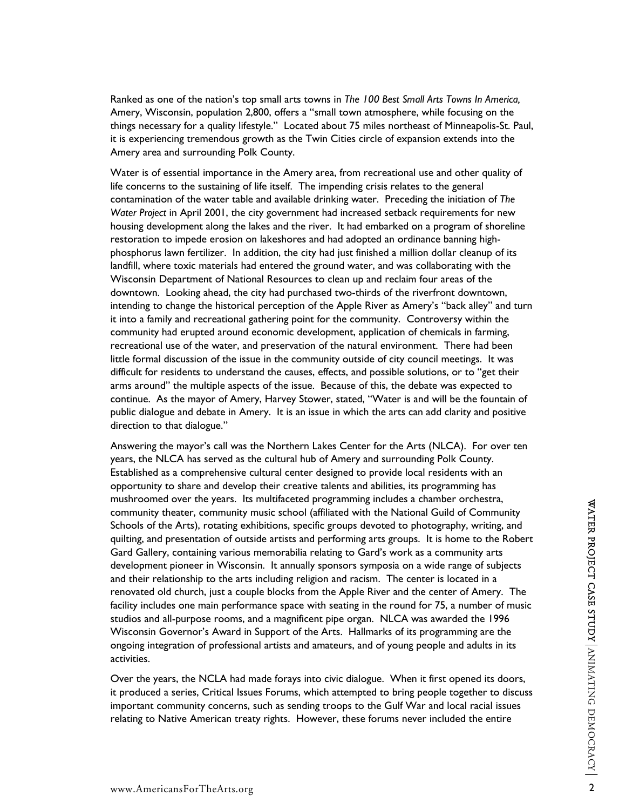Ranked as one of the nation's top small arts towns in *The 100 Best Small Arts Towns In America,*  Amery, Wisconsin, population 2,800, offers a "small town atmosphere, while focusing on the things necessary for a quality lifestyle." Located about 75 miles northeast of Minneapolis-St. Paul, it is experiencing tremendous growth as the Twin Cities circle of expansion extends into the Amery area and surrounding Polk County.

Water is of essential importance in the Amery area, from recreational use and other quality of life concerns to the sustaining of life itself. The impending crisis relates to the general contamination of the water table and available drinking water. Preceding the initiation of *The Water Project* in April 2001, the city government had increased setback requirements for new housing development along the lakes and the river. It had embarked on a program of shoreline restoration to impede erosion on lakeshores and had adopted an ordinance banning highphosphorus lawn fertilizer. In addition, the city had just finished a million dollar cleanup of its landfill, where toxic materials had entered the ground water, and was collaborating with the Wisconsin Department of National Resources to clean up and reclaim four areas of the downtown. Looking ahead, the city had purchased two-thirds of the riverfront downtown, intending to change the historical perception of the Apple River as Amery's "back alley" and turn it into a family and recreational gathering point for the community. Controversy within the community had erupted around economic development, application of chemicals in farming, recreational use of the water, and preservation of the natural environment. There had been little formal discussion of the issue in the community outside of city council meetings. It was difficult for residents to understand the causes, effects, and possible solutions, or to "get their arms around" the multiple aspects of the issue. Because of this, the debate was expected to continue. As the mayor of Amery, Harvey Stower, stated, "Water is and will be the fountain of public dialogue and debate in Amery. It is an issue in which the arts can add clarity and positive direction to that dialogue."

Answering the mayor's call was the Northern Lakes Center for the Arts (NLCA). For over ten years, the NLCA has served as the cultural hub of Amery and surrounding Polk County. Established as a comprehensive cultural center designed to provide local residents with an opportunity to share and develop their creative talents and abilities, its programming has mushroomed over the years. Its multifaceted programming includes a chamber orchestra, community theater, community music school (affiliated with the National Guild of Community Schools of the Arts), rotating exhibitions, specific groups devoted to photography, writing, and quilting, and presentation of outside artists and performing arts groups. It is home to the Robert Gard Gallery, containing various memorabilia relating to Gard's work as a community arts development pioneer in Wisconsin. It annually sponsors symposia on a wide range of subjects and their relationship to the arts including religion and racism. The center is located in a renovated old church, just a couple blocks from the Apple River and the center of Amery. The facility includes one main performance space with seating in the round for 75, a number of music studios and all-purpose rooms, and a magnificent pipe organ. NLCA was awarded the 1996 Wisconsin Governor's Award in Support of the Arts. Hallmarks of its programming are the ongoing integration of professional artists and amateurs, and of young people and adults in its activities.

Over the years, the NCLA had made forays into civic dialogue. When it first opened its doors, it produced a series, Critical Issues Forums, which attempted to bring people together to discuss important community concerns, such as sending troops to the Gulf War and local racial issues relating to Native American treaty rights. However, these forums never included the entire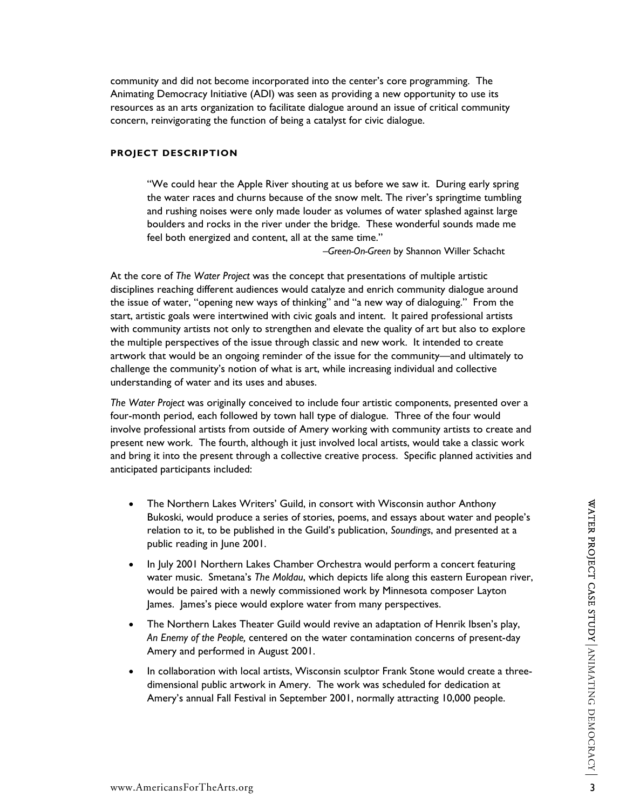community and did not become incorporated into the center's core programming. The Animating Democracy Initiative (ADI) was seen as providing a new opportunity to use its resources as an arts organization to facilitate dialogue around an issue of critical community concern, reinvigorating the function of being a catalyst for civic dialogue.

## **PROJECT DESCRIPTION**

"We could hear the Apple River shouting at us before we saw it. During early spring the water races and churns because of the snow melt. The river's springtime tumbling and rushing noises were only made louder as volumes of water splashed against large boulders and rocks in the river under the bridge. These wonderful sounds made me feel both energized and content, all at the same time."

–*Green-On-Green* by Shannon Willer Schacht

At the core of *The Water Project* was the concept that presentations of multiple artistic disciplines reaching different audiences would catalyze and enrich community dialogue around the issue of water, "opening new ways of thinking" and "a new way of dialoguing." From the start, artistic goals were intertwined with civic goals and intent. It paired professional artists with community artists not only to strengthen and elevate the quality of art but also to explore the multiple perspectives of the issue through classic and new work. It intended to create artwork that would be an ongoing reminder of the issue for the community—and ultimately to challenge the community's notion of what is art, while increasing individual and collective understanding of water and its uses and abuses.

*The Water Project* was originally conceived to include four artistic components, presented over a four-month period, each followed by town hall type of dialogue. Three of the four would involve professional artists from outside of Amery working with community artists to create and present new work. The fourth, although it just involved local artists, would take a classic work and bring it into the present through a collective creative process. Specific planned activities and anticipated participants included:

- The Northern Lakes Writers' Guild, in consort with Wisconsin author Anthony Bukoski, would produce a series of stories, poems, and essays about water and people's relation to it, to be published in the Guild's publication, *Soundings*, and presented at a public reading in June 2001.
- In July 2001 Northern Lakes Chamber Orchestra would perform a concert featuring water music. Smetana's *The Moldau*, which depicts life along this eastern European river, would be paired with a newly commissioned work by Minnesota composer Layton James. James's piece would explore water from many perspectives.
- The Northern Lakes Theater Guild would revive an adaptation of Henrik Ibsen's play, *An Enemy of the People,* centered on the water contamination concerns of present-day Amery and performed in August 2001.
- In collaboration with local artists, Wisconsin sculptor Frank Stone would create a threedimensional public artwork in Amery. The work was scheduled for dedication at Amery's annual Fall Festival in September 2001, normally attracting 10,000 people.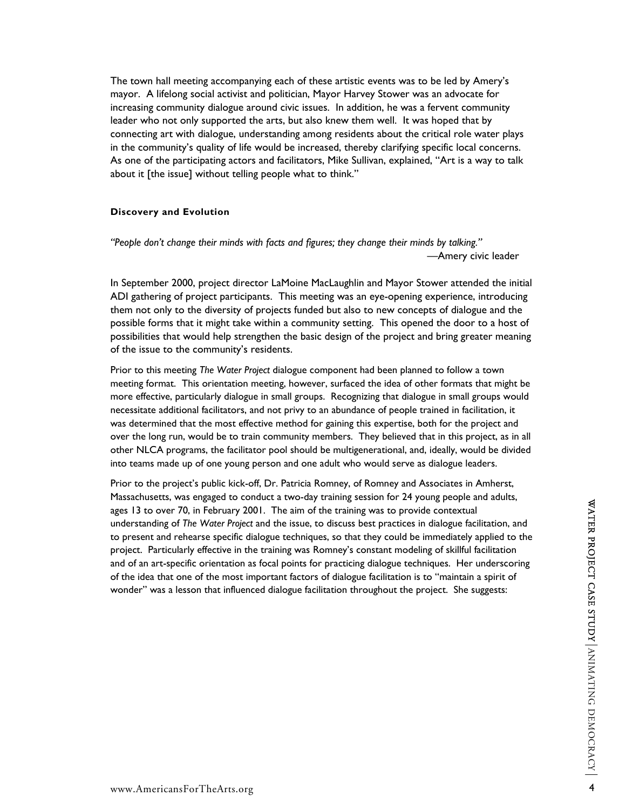The town hall meeting accompanying each of these artistic events was to be led by Amery's mayor. A lifelong social activist and politician, Mayor Harvey Stower was an advocate for increasing community dialogue around civic issues. In addition, he was a fervent community leader who not only supported the arts, but also knew them well. It was hoped that by connecting art with dialogue, understanding among residents about the critical role water plays in the community's quality of life would be increased, thereby clarifying specific local concerns. As one of the participating actors and facilitators, Mike Sullivan, explained, "Art is a way to talk about it [the issue] without telling people what to think."

#### **Discovery and Evolution**

*"People don't change their minds with facts and figures; they change their minds by talking." —*Amery civic leader

In September 2000, project director LaMoine MacLaughlin and Mayor Stower attended the initial ADI gathering of project participants. This meeting was an eye-opening experience, introducing them not only to the diversity of projects funded but also to new concepts of dialogue and the possible forms that it might take within a community setting. This opened the door to a host of possibilities that would help strengthen the basic design of the project and bring greater meaning of the issue to the community's residents.

Prior to this meeting *The Water Project* dialogue component had been planned to follow a town meeting format. This orientation meeting, however, surfaced the idea of other formats that might be more effective, particularly dialogue in small groups. Recognizing that dialogue in small groups would necessitate additional facilitators, and not privy to an abundance of people trained in facilitation, it was determined that the most effective method for gaining this expertise, both for the project and over the long run, would be to train community members. They believed that in this project, as in all other NLCA programs, the facilitator pool should be multigenerational, and, ideally, would be divided into teams made up of one young person and one adult who would serve as dialogue leaders.

Prior to the project's public kick-off, Dr. Patricia Romney, of Romney and Associates in Amherst, Massachusetts, was engaged to conduct a two-day training session for 24 young people and adults, ages 13 to over 70, in February 2001. The aim of the training was to provide contextual understanding of *The Water Project* and the issue, to discuss best practices in dialogue facilitation, and to present and rehearse specific dialogue techniques, so that they could be immediately applied to the project. Particularly effective in the training was Romney's constant modeling of skillful facilitation and of an art-specific orientation as focal points for practicing dialogue techniques. Her underscoring of the idea that one of the most important factors of dialogue facilitation is to "maintain a spirit of wonder" was a lesson that influenced dialogue facilitation throughout the project. She suggests: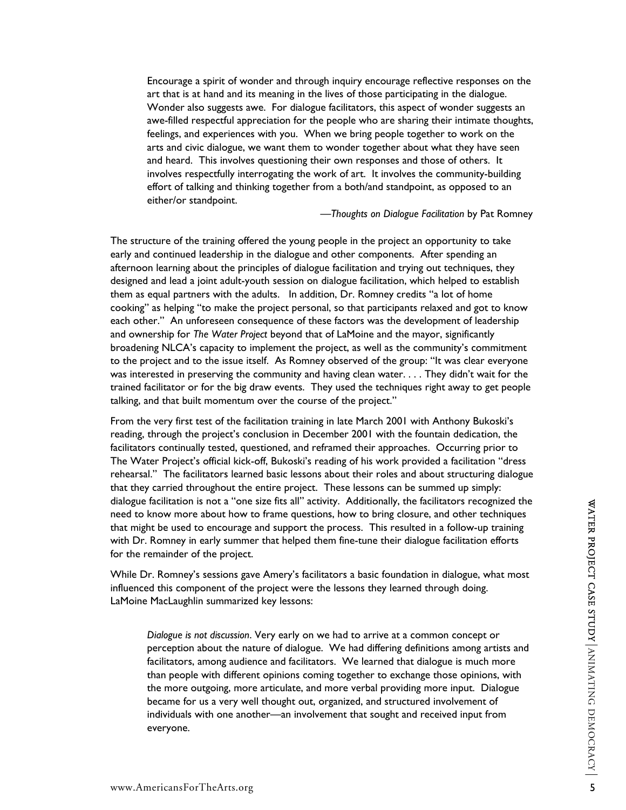Encourage a spirit of wonder and through inquiry encourage reflective responses on the art that is at hand and its meaning in the lives of those participating in the dialogue. Wonder also suggests awe. For dialogue facilitators, this aspect of wonder suggests an awe-filled respectful appreciation for the people who are sharing their intimate thoughts, feelings, and experiences with you. When we bring people together to work on the arts and civic dialogue, we want them to wonder together about what they have seen and heard. This involves questioning their own responses and those of others. It involves respectfully interrogating the work of art. It involves the community-building effort of talking and thinking together from a both/and standpoint, as opposed to an either/or standpoint.

—*Thoughts on Dialogue Facilitation* by Pat Romney

The structure of the training offered the young people in the project an opportunity to take early and continued leadership in the dialogue and other components. After spending an afternoon learning about the principles of dialogue facilitation and trying out techniques, they designed and lead a joint adult-youth session on dialogue facilitation, which helped to establish them as equal partners with the adults. In addition, Dr. Romney credits "a lot of home cooking" as helping "to make the project personal, so that participants relaxed and got to know each other." An unforeseen consequence of these factors was the development of leadership and ownership for *The Water Project* beyond that of LaMoine and the mayor, significantly broadening NLCA's capacity to implement the project, as well as the community's commitment to the project and to the issue itself. As Romney observed of the group: "It was clear everyone was interested in preserving the community and having clean water. . . . They didn't wait for the trained facilitator or for the big draw events. They used the techniques right away to get people talking, and that built momentum over the course of the project."

From the very first test of the facilitation training in late March 2001 with Anthony Bukoski's reading, through the project's conclusion in December 2001 with the fountain dedication, the facilitators continually tested, questioned, and reframed their approaches. Occurring prior to The Water Project's official kick-off, Bukoski's reading of his work provided a facilitation "dress rehearsal." The facilitators learned basic lessons about their roles and about structuring dialogue that they carried throughout the entire project. These lessons can be summed up simply: dialogue facilitation is not a "one size fits all" activity. Additionally, the facilitators recognized the need to know more about how to frame questions, how to bring closure, and other techniques that might be used to encourage and support the process. This resulted in a follow-up training with Dr. Romney in early summer that helped them fine-tune their dialogue facilitation efforts for the remainder of the project.

While Dr. Romney's sessions gave Amery's facilitators a basic foundation in dialogue, what most influenced this component of the project were the lessons they learned through doing. LaMoine MacLaughlin summarized key lessons:

*Dialogue is not discussion*. Very early on we had to arrive at a common concept or perception about the nature of dialogue. We had differing definitions among artists and facilitators, among audience and facilitators. We learned that dialogue is much more than people with different opinions coming together to exchange those opinions, with the more outgoing, more articulate, and more verbal providing more input. Dialogue became for us a very well thought out, organized, and structured involvement of individuals with one another—an involvement that sought and received input from everyone.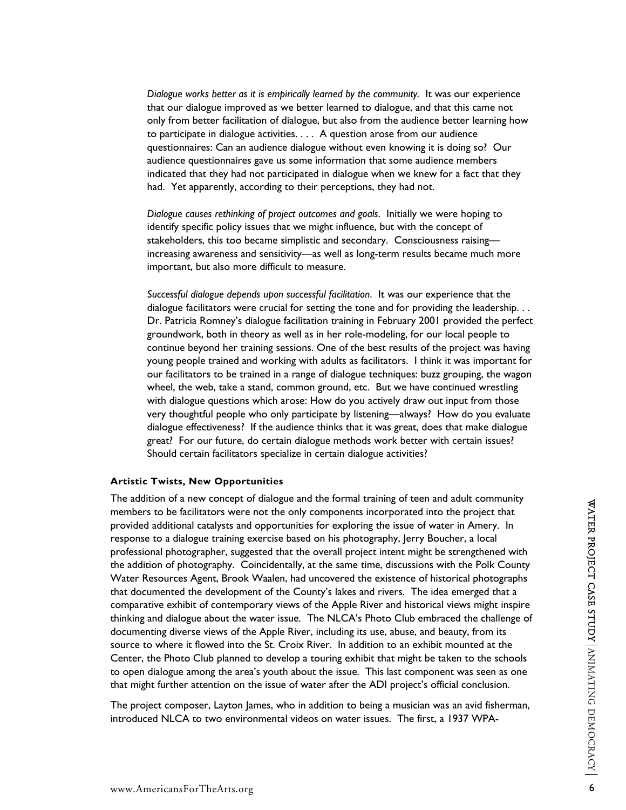*Dialogue works better as it is empirically learned by the community.* It was our experience that our dialogue improved as we better learned to dialogue, and that this came not only from better facilitation of dialogue, but also from the audience better learning how to participate in dialogue activities. . . . A question arose from our audience questionnaires: Can an audience dialogue without even knowing it is doing so? Our audience questionnaires gave us some information that some audience members indicated that they had not participated in dialogue when we knew for a fact that they had. Yet apparently, according to their perceptions, they had not.

*Dialogue causes rethinking of project outcomes and goals*. Initially we were hoping to identify specific policy issues that we might influence, but with the concept of stakeholders, this too became simplistic and secondary. Consciousness raising increasing awareness and sensitivity—as well as long-term results became much more important, but also more difficult to measure.

*Successful dialogue depends upon successful facilitation*. It was our experience that the dialogue facilitators were crucial for setting the tone and for providing the leadership. . . Dr. Patricia Romney's dialogue facilitation training in February 2001 provided the perfect groundwork, both in theory as well as in her role-modeling, for our local people to continue beyond her training sessions. One of the best results of the project was having young people trained and working with adults as facilitators. I think it was important for our facilitators to be trained in a range of dialogue techniques: buzz grouping, the wagon wheel, the web, take a stand, common ground, etc. But we have continued wrestling with dialogue questions which arose: How do you actively draw out input from those very thoughtful people who only participate by listening—always? How do you evaluate dialogue effectiveness? If the audience thinks that it was great, does that make dialogue great? For our future, do certain dialogue methods work better with certain issues? Should certain facilitators specialize in certain dialogue activities?

#### **Artistic Twists, New Opportunities**

The addition of a new concept of dialogue and the formal training of teen and adult community members to be facilitators were not the only components incorporated into the project that provided additional catalysts and opportunities for exploring the issue of water in Amery. In response to a dialogue training exercise based on his photography, Jerry Boucher, a local professional photographer, suggested that the overall project intent might be strengthened with the addition of photography. Coincidentally, at the same time, discussions with the Polk County Water Resources Agent, Brook Waalen, had uncovered the existence of historical photographs that documented the development of the County's lakes and rivers. The idea emerged that a comparative exhibit of contemporary views of the Apple River and historical views might inspire thinking and dialogue about the water issue. The NLCA's Photo Club embraced the challenge of documenting diverse views of the Apple River, including its use, abuse, and beauty, from its source to where it flowed into the St. Croix River. In addition to an exhibit mounted at the Center, the Photo Club planned to develop a touring exhibit that might be taken to the schools to open dialogue among the area's youth about the issue. This last component was seen as one that might further attention on the issue of water after the ADI project's official conclusion.

The project composer, Layton James, who in addition to being a musician was an avid fisherman, introduced NLCA to two environmental videos on water issues. The first, a 1937 WPA-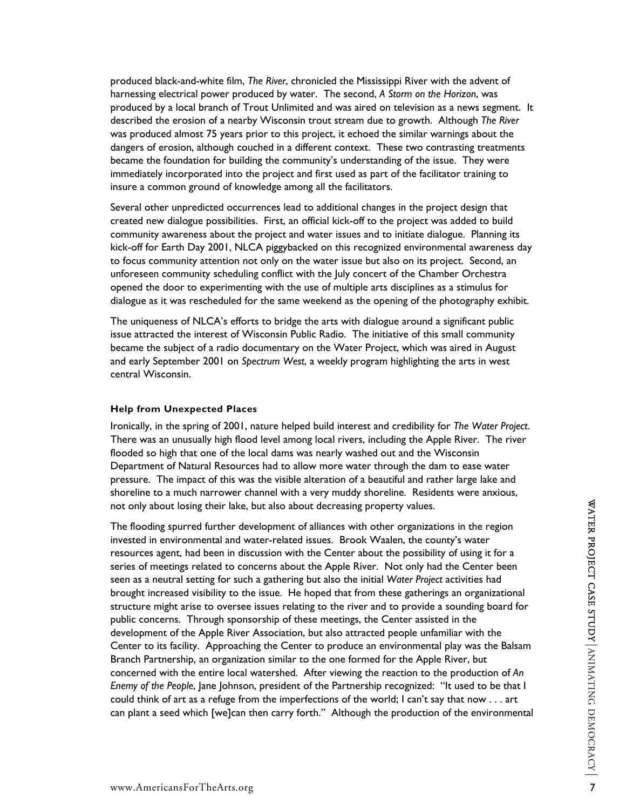produced black-and-white film, *The River*, chronicled the Mississippi River with the advent of harnessing electrical power produced by water. The second, *A Storm on the Horizon*, was produced by a local branch of Trout Unlimited and was aired on television as a news segment. It described the erosion of a nearby Wisconsin trout stream due to growth. Although *The River* was produced almost 75 years prior to this project, it echoed the similar warnings about the dangers of erosion, although couched in a different context. These two contrasting treatments became the foundation for building the community's understanding of the issue. They were immediately incorporated into the project and first used as part of the facilitator training to insure a common ground of knowledge among all the facilitators.

Several other unpredicted occurrences lead to additional changes in the project design that created new dialogue possibilities. First, an official kick-off to the project was added to build community awareness about the project and water issues and to initiate dialogue. Planning its kick-off for Earth Day 2001, NLCA piggybacked on this recognized environmental awareness day to focus community attention not only on the water issue but also on its project. Second, an unforeseen community scheduling conflict with the July concert of the Chamber Orchestra opened the door to experimenting with the use of multiple arts disciplines as a stimulus for dialogue as it was rescheduled for the same weekend as the opening of the photography exhibit.

The uniqueness of NLCA's efforts to bridge the arts with dialogue around a significant public issue attracted the interest of Wisconsin Public Radio. The initiative of this small community became the subject of a radio documentary on the Water Project, which was aired in August and early September 2001 on *Spectrum West*, a weekly program highlighting the arts in west central Wisconsin.

#### **Help from Unexpected Places**

Ironically, in the spring of 2001, nature helped build interest and credibility for *The Water Project*. There was an unusually high flood level among local rivers, including the Apple River. The river flooded so high that one of the local dams was nearly washed out and the Wisconsin Department of Natural Resources had to allow more water through the dam to ease water pressure. The impact of this was the visible alteration of a beautiful and rather large lake and shoreline to a much narrower channel with a very muddy shoreline. Residents were anxious,

not only about losing their lake, but also about decreasing property values.<br>The flooding spurred further development of alliances with other organizations in the region<br>invested in environmental and water-related issues. The flooding spurred further development of alliances with other organizations in the region invested in environmental and water-related issues. Brook Waalen, the county's water resources agent, had been in discussion with the Center about the possibility of using it for a series of meetings related to concerns about the Apple River. Not only had the Center been seen as a neutral setting for such a gathering but also the initial *Water Project* activities had brought increased visibility to the issue. He hoped that from these gatherings an organizational structure might arise to oversee issues relating to the river and to provide a sounding board for public concerns. Through sponsorship of these meetings, the Center assisted in the development of the Apple River Association, but also attracted people unfamiliar with the Center to its facility. Approaching the Center to produce an environmental play was the Balsam Branch Partnership, an organization similar to the one formed for the Apple River, but concerned with the entire local watershed. After viewing the reaction to the production of *An Enemy of the People*, Jane Johnson, president of the Partnership recognized: "It used to be that I could think of art as a refuge from the imperfections of the world; I can't say that now . . . art can plant a seed which [we]can then carry forth." Although the production of the environmental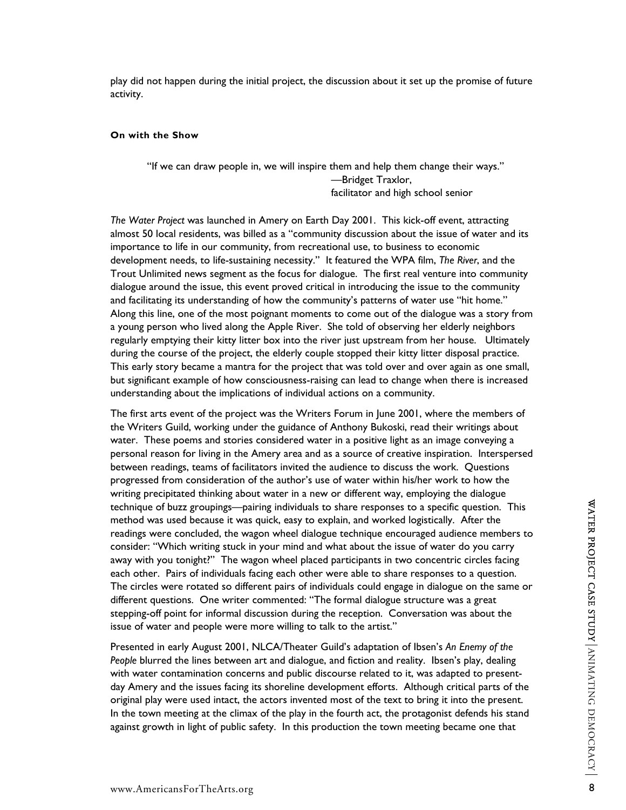play did not happen during the initial project, the discussion about it set up the promise of future activity.

## **On with the Show**

"If we can draw people in, we will inspire them and help them change their ways." —Bridget Traxlor, facilitator and high school senior

*The Water Project* was launched in Amery on Earth Day 2001. This kick-off event, attracting almost 50 local residents, was billed as a "community discussion about the issue of water and its importance to life in our community, from recreational use, to business to economic development needs, to life-sustaining necessity." It featured the WPA film, *The River*, and the Trout Unlimited news segment as the focus for dialogue. The first real venture into community dialogue around the issue, this event proved critical in introducing the issue to the community and facilitating its understanding of how the community's patterns of water use "hit home." Along this line, one of the most poignant moments to come out of the dialogue was a story from a young person who lived along the Apple River. She told of observing her elderly neighbors regularly emptying their kitty litter box into the river just upstream from her house. Ultimately during the course of the project, the elderly couple stopped their kitty litter disposal practice. This early story became a mantra for the project that was told over and over again as one small, but significant example of how consciousness-raising can lead to change when there is increased understanding about the implications of individual actions on a community.

The first arts event of the project was the Writers Forum in June 2001, where the members of the Writers Guild, working under the guidance of Anthony Bukoski, read their writings about water. These poems and stories considered water in a positive light as an image conveying a personal reason for living in the Amery area and as a source of creative inspiration. Interspersed between readings, teams of facilitators invited the audience to discuss the work. Questions progressed from consideration of the author's use of water within his/her work to how the writing precipitated thinking about water in a new or different way, employing the dialogue technique of buzz groupings—pairing individuals to share responses to a specific question. This method was used because it was quick, easy to explain, and worked logistically. After the readings were concluded, the wagon wheel dialogue technique encouraged audience members to consider: "Which writing stuck in your mind and what about the issue of water do you carry away with you tonight?" The wagon wheel placed participants in two concentric circles facing each other. Pairs of individuals facing each other were able to share responses to a question. The circles were rotated so different pairs of individuals could engage in dialogue on the same or different questions. One writer commented: "The formal dialogue structure was a great stepping-off point for informal discussion during the reception. Conversation was about the issue of water and people were more willing to talk to the artist."

Presented in early August 2001, NLCA/Theater Guild's adaptation of Ibsen's *An Enemy of the People* blurred the lines between art and dialogue, and fiction and reality. Ibsen's play, dealing with water contamination concerns and public discourse related to it, was adapted to presentday Amery and the issues facing its shoreline development efforts. Although critical parts of the original play were used intact, the actors invented most of the text to bring it into the present. In the town meeting at the climax of the play in the fourth act, the protagonist defends his stand against growth in light of public safety. In this production the town meeting became one that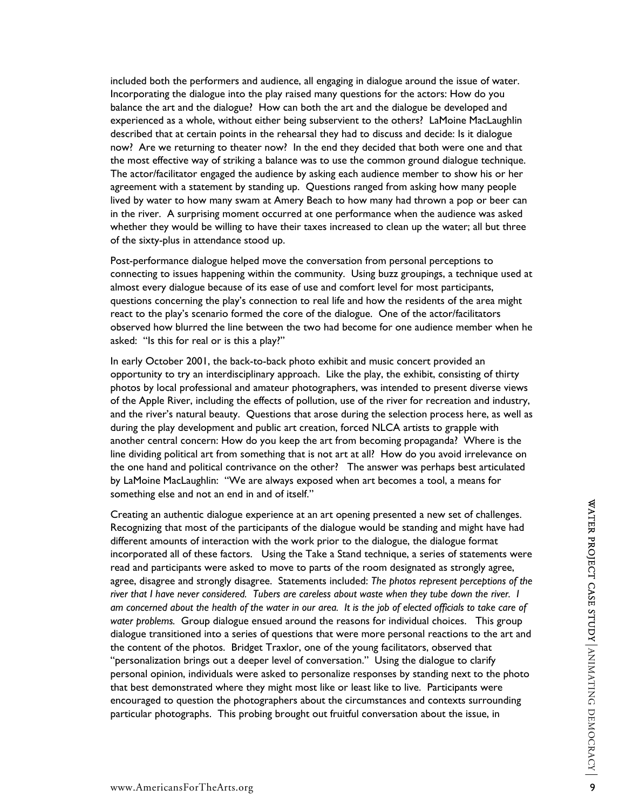included both the performers and audience, all engaging in dialogue around the issue of water. Incorporating the dialogue into the play raised many questions for the actors: How do you balance the art and the dialogue? How can both the art and the dialogue be developed and experienced as a whole, without either being subservient to the others? LaMoine MacLaughlin described that at certain points in the rehearsal they had to discuss and decide: Is it dialogue now? Are we returning to theater now? In the end they decided that both were one and that the most effective way of striking a balance was to use the common ground dialogue technique. The actor/facilitator engaged the audience by asking each audience member to show his or her agreement with a statement by standing up. Questions ranged from asking how many people lived by water to how many swam at Amery Beach to how many had thrown a pop or beer can in the river. A surprising moment occurred at one performance when the audience was asked whether they would be willing to have their taxes increased to clean up the water; all but three of the sixty-plus in attendance stood up.

Post-performance dialogue helped move the conversation from personal perceptions to connecting to issues happening within the community. Using buzz groupings, a technique used at almost every dialogue because of its ease of use and comfort level for most participants, questions concerning the play's connection to real life and how the residents of the area might react to the play's scenario formed the core of the dialogue. One of the actor/facilitators observed how blurred the line between the two had become for one audience member when he asked: "Is this for real or is this a play?"

In early October 2001, the back-to-back photo exhibit and music concert provided an opportunity to try an interdisciplinary approach. Like the play, the exhibit, consisting of thirty photos by local professional and amateur photographers, was intended to present diverse views of the Apple River, including the effects of pollution, use of the river for recreation and industry, and the river's natural beauty. Questions that arose during the selection process here, as well as during the play development and public art creation, forced NLCA artists to grapple with another central concern: How do you keep the art from becoming propaganda? Where is the line dividing political art from something that is not art at all? How do you avoid irrelevance on the one hand and political contrivance on the other? The answer was perhaps best articulated by LaMoine MacLaughlin: "We are always exposed when art becomes a tool, a means for something else and not an end in and of itself."

Creating an authentic dialogue experience at an art opening presented a new set of challenges. Recognizing that most of the participants of the dialogue would be standing and might have had different amounts of interaction with the work prior to the dialogue, the dialogue format incorporated all of these factors. Using the Take a Stand technique, a series of statements were read and participants were asked to move to parts of the room designated as strongly agree, agree, disagree and strongly disagree. Statements included: *The photos represent perceptions of the river that I have never considered. Tubers are careless about waste when they tube down the river. I am concerned about the health of the water in our area. It is the job of elected officials to take care of water problems.* Group dialogue ensued around the reasons for individual choices. This group dialogue transitioned into a series of questions that were more personal reactions to the art and the content of the photos. Bridget Traxlor, one of the young facilitators, observed that "personalization brings out a deeper level of conversation." Using the dialogue to clarify personal opinion, individuals were asked to personalize responses by standing next to the photo that best demonstrated where they might most like or least like to live. Participants were encouraged to question the photographers about the circumstances and contexts surrounding particular photographs. This probing brought out fruitful conversation about the issue, in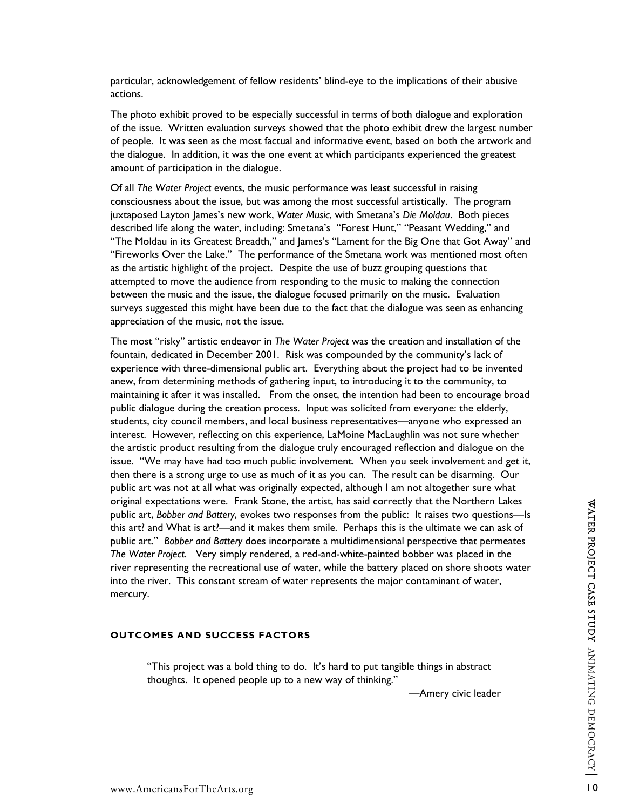particular, acknowledgement of fellow residents' blind-eye to the implications of their abusive actions.

The photo exhibit proved to be especially successful in terms of both dialogue and exploration of the issue. Written evaluation surveys showed that the photo exhibit drew the largest number of people. It was seen as the most factual and informative event, based on both the artwork and the dialogue. In addition, it was the one event at which participants experienced the greatest amount of participation in the dialogue.

Of all *The Water Project* events, the music performance was least successful in raising consciousness about the issue, but was among the most successful artistically. The program juxtaposed Layton James's new work, *Water Music*, with Smetana's *Die Moldau*. Both pieces described life along the water, including: Smetana's "Forest Hunt," "Peasant Wedding," and "The Moldau in its Greatest Breadth," and James's "Lament for the Big One that Got Away" and "Fireworks Over the Lake." The performance of the Smetana work was mentioned most often as the artistic highlight of the project. Despite the use of buzz grouping questions that attempted to move the audience from responding to the music to making the connection between the music and the issue, the dialogue focused primarily on the music. Evaluation surveys suggested this might have been due to the fact that the dialogue was seen as enhancing appreciation of the music, not the issue.

The most "risky" artistic endeavor in *The Water Project* was the creation and installation of the fountain, dedicated in December 2001. Risk was compounded by the community's lack of experience with three-dimensional public art. Everything about the project had to be invented anew, from determining methods of gathering input, to introducing it to the community, to maintaining it after it was installed. From the onset, the intention had been to encourage broad public dialogue during the creation process. Input was solicited from everyone: the elderly, students, city council members, and local business representatives—anyone who expressed an interest. However, reflecting on this experience, LaMoine MacLaughlin was not sure whether the artistic product resulting from the dialogue truly encouraged reflection and dialogue on the issue. "We may have had too much public involvement. When you seek involvement and get it, then there is a strong urge to use as much of it as you can. The result can be disarming. Our public art was not at all what was originally expected, although I am not altogether sure what original expectations were. Frank Stone, the artist, has said correctly that the Northern Lakes public art, *Bobber and Battery*, evokes two responses from the public: It raises two questions—Is this art? and What is art?—and it makes them smile. Perhaps this is the ultimate we can ask of public art." *Bobber and Battery* does incorporate a multidimensional perspective that permeates *The Water Project*. Very simply rendered, a red-and-white-painted bobber was placed in the river representing the recreational use of water, while the battery placed on shore shoots water into the river. This constant stream of water represents the major contaminant of water, mercury.

## **OUTCOMES AND SUCCESS FACTORS**

"This project was a bold thing to do. It's hard to put tangible things in abstract thoughts. It opened people up to a new way of thinking."

—Amery civic leader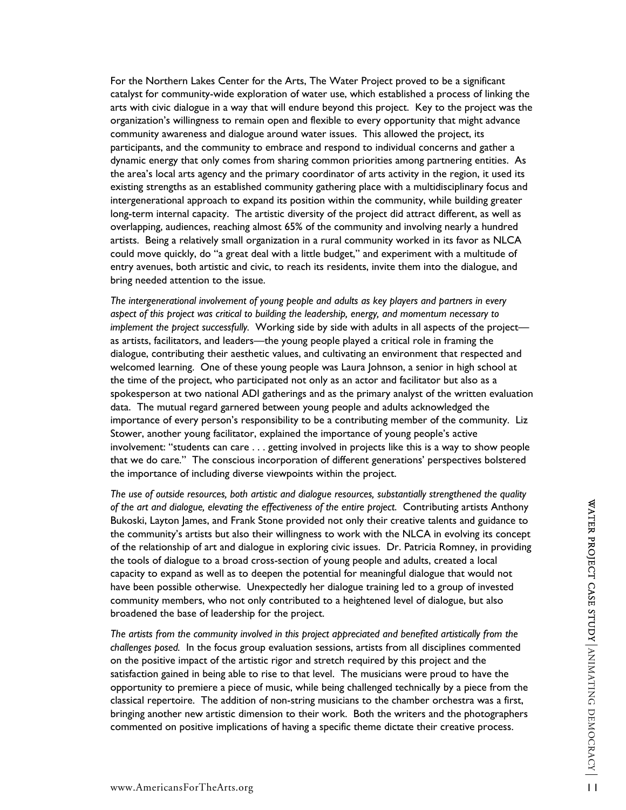For the Northern Lakes Center for the Arts, The Water Project proved to be a significant catalyst for community-wide exploration of water use, which established a process of linking the arts with civic dialogue in a way that will endure beyond this project. Key to the project was the organization's willingness to remain open and flexible to every opportunity that might advance community awareness and dialogue around water issues. This allowed the project, its participants, and the community to embrace and respond to individual concerns and gather a dynamic energy that only comes from sharing common priorities among partnering entities. As the area's local arts agency and the primary coordinator of arts activity in the region, it used its existing strengths as an established community gathering place with a multidisciplinary focus and intergenerational approach to expand its position within the community, while building greater long-term internal capacity. The artistic diversity of the project did attract different, as well as overlapping, audiences, reaching almost 65% of the community and involving nearly a hundred artists.Being a relatively small organization in a rural community worked in its favor as NLCA could move quickly, do "a great deal with a little budget," and experiment with a multitude of entry avenues, both artistic and civic, to reach its residents, invite them into the dialogue, and bring needed attention to the issue.

*The intergenerational involvement of young people and adults as key players and partners in every aspect of this project was critical to building the leadership, energy, and momentum necessary to implement the project successfully.* Working side by side with adults in all aspects of the project as artists, facilitators, and leaders—the young people played a critical role in framing the dialogue, contributing their aesthetic values, and cultivating an environment that respected and welcomed learning. One of these young people was Laura Johnson, a senior in high school at the time of the project, who participated not only as an actor and facilitator but also as a spokesperson at two national ADI gatherings and as the primary analyst of the written evaluation data. The mutual regard garnered between young people and adults acknowledged the importance of every person's responsibility to be a contributing member of the community. Liz Stower, another young facilitator, explained the importance of young people's active involvement: "students can care . . . getting involved in projects like this is a way to show people that we do care." The conscious incorporation of different generations' perspectives bolstered the importance of including diverse viewpoints within the project.

*The use of outside resources, both artistic and dialogue resources, substantially strengthened the quality of the art and dialogue, elevating the effectiveness of the entire project*. Contributing artists Anthony Bukoski, Layton James, and Frank Stone provided not only their creative talents and guidance to the community's artists but also their willingness to work with the NLCA in evolving its concept of the relationship of art and dialogue in exploring civic issues. Dr. Patricia Romney, in providing the tools of dialogue to a broad cross-section of young people and adults, created a local capacity to expand as well as to deepen the potential for meaningful dialogue that would not have been possible otherwise. Unexpectedly her dialogue training led to a group of invested community members, who not only contributed to a heightened level of dialogue, but also broadened the base of leadership for the project.

*The artists from the community involved in this project appreciated and benefited artistically from the challenges posed.* In the focus group evaluation sessions, artists from all disciplines commented on the positive impact of the artistic rigor and stretch required by this project and the satisfaction gained in being able to rise to that level. The musicians were proud to have the opportunity to premiere a piece of music, while being challenged technically by a piece from the classical repertoire. The addition of non-string musicians to the chamber orchestra was a first, bringing another new artistic dimension to their work. Both the writers and the photographers commented on positive implications of having a specific theme dictate their creative process.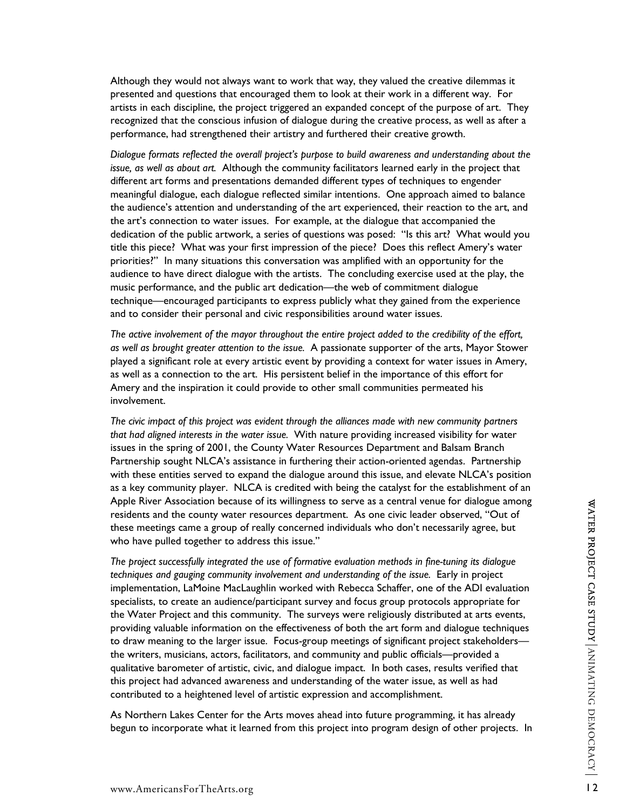Although they would not always want to work that way, they valued the creative dilemmas it presented and questions that encouraged them to look at their work in a different way. For artists in each discipline, the project triggered an expanded concept of the purpose of art. They recognized that the conscious infusion of dialogue during the creative process, as well as after a performance, had strengthened their artistry and furthered their creative growth.

*Dialogue formats reflected the overall project's purpose to build awareness and understanding about the issue, as well as about art.* Although the community facilitators learned early in the project that different art forms and presentations demanded different types of techniques to engender meaningful dialogue, each dialogue reflected similar intentions. One approach aimed to balance the audience's attention and understanding of the art experienced, their reaction to the art, and the art's connection to water issues. For example, at the dialogue that accompanied the dedication of the public artwork, a series of questions was posed: "Is this art? What would you title this piece? What was your first impression of the piece? Does this reflect Amery's water priorities?" In many situations this conversation was amplified with an opportunity for the audience to have direct dialogue with the artists. The concluding exercise used at the play, the music performance, and the public art dedication—the web of commitment dialogue technique—encouraged participants to express publicly what they gained from the experience and to consider their personal and civic responsibilities around water issues.

*The active involvement of the mayor throughout the entire project added to the credibility of the effort, as well as brought greater attention to the issue.* A passionate supporter of the arts, Mayor Stower played a significant role at every artistic event by providing a context for water issues in Amery, as well as a connection to the art. His persistent belief in the importance of this effort for Amery and the inspiration it could provide to other small communities permeated his involvement.

*The civic impact of this project was evident through the alliances made with new community partners that had aligned interests in the water issue.* With nature providing increased visibility for water issues in the spring of 2001, the County Water Resources Department and Balsam Branch Partnership sought NLCA's assistance in furthering their action-oriented agendas. Partnership with these entities served to expand the dialogue around this issue, and elevate NLCA's position as a key community player. NLCA is credited with being the catalyst for the establishment of an Apple River Association because of its willingness to serve as a central venue for dialogue among residents and the county water resources department. As one civic leader observed, "Out of these meetings came a group of really concerned individuals who don't necessarily agree, but who have pulled together to address this issue."

*The project successfully integrated the use of formative evaluation methods in fine-tuning its dialogue techniques and gauging community involvement and understanding of the issue.* Early in project implementation, LaMoine MacLaughlin worked with Rebecca Schaffer, one of the ADI evaluation specialists, to create an audience/participant survey and focus group protocols appropriate for the Water Project and this community. The surveys were religiously distributed at arts events, providing valuable information on the effectiveness of both the art form and dialogue techniques to draw meaning to the larger issue. Focus-group meetings of significant project stakeholders the writers, musicians, actors, facilitators, and community and public officials—provided a qualitative barometer of artistic, civic, and dialogue impact. In both cases, results verified that this project had advanced awareness and understanding of the water issue, as well as had contributed to a heightened level of artistic expression and accomplishment.

As Northern Lakes Center for the Arts moves ahead into future programming, it has already begun to incorporate what it learned from this project into program design of other projects. In